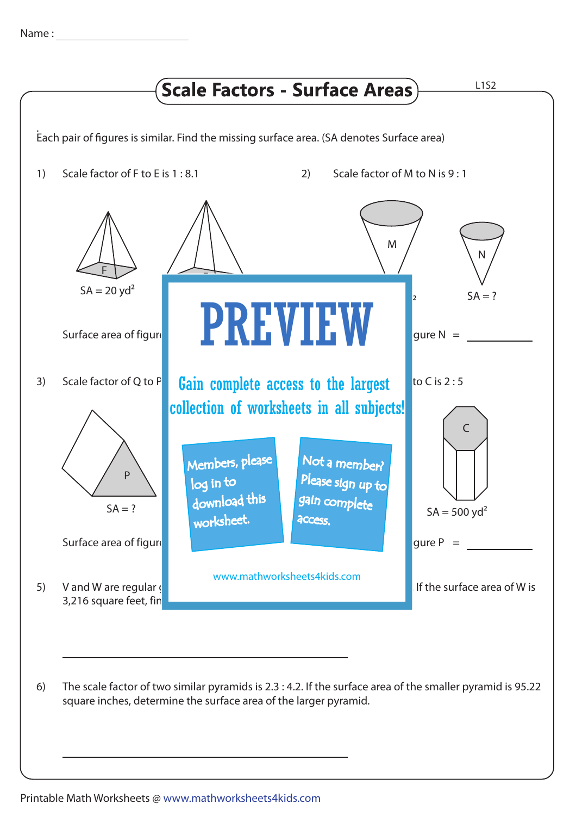